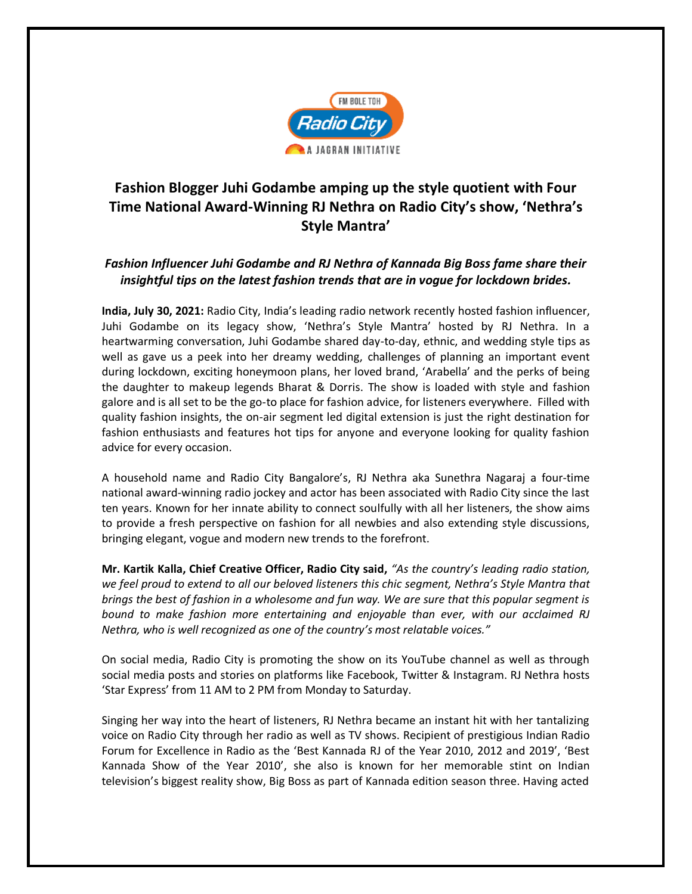

## **Fashion Blogger Juhi Godambe amping up the style quotient with Four Time National Award-Winning RJ Nethra on Radio City's show, 'Nethra's Style Mantra'**

## *Fashion Influencer Juhi Godambe and RJ Nethra of Kannada Big Boss fame share their insightful tips on the latest fashion trends that are in vogue for lockdown brides.*

**India, July 30, 2021:** Radio City, India's leading radio network recently hosted fashion influencer, Juhi Godambe on its legacy show, 'Nethra's Style Mantra' hosted by RJ Nethra. In a heartwarming conversation, Juhi Godambe shared day-to-day, ethnic, and wedding style tips as well as gave us a peek into her dreamy wedding, challenges of planning an important event during lockdown, exciting honeymoon plans, her loved brand, 'Arabella' and the perks of being the daughter to makeup legends Bharat & Dorris. The show is loaded with style and fashion galore and is all set to be the go-to place for fashion advice, for listeners everywhere. Filled with quality fashion insights, the on-air segment led digital extension is just the right destination for fashion enthusiasts and features hot tips for anyone and everyone looking for quality fashion advice for every occasion.

A household name and Radio City Bangalore's, RJ Nethra aka Sunethra Nagaraj a four-time national award-winning radio jockey and actor has been associated with Radio City since the last ten years. Known for her innate ability to connect soulfully with all her listeners, the show aims to provide a fresh perspective on fashion for all newbies and also extending style discussions, bringing elegant, vogue and modern new trends to the forefront.

**Mr. Kartik Kalla, Chief Creative Officer, Radio City said,** *"As the country's leading radio station, we feel proud to extend to all our beloved listeners this chic segment, Nethra's Style Mantra that brings the best of fashion in a wholesome and fun way. We are sure that this popular segment is bound to make fashion more entertaining and enjoyable than ever, with our acclaimed RJ Nethra, who is well recognized as one of the country's most relatable voices."*

On social media, Radio City is promoting the show on its YouTube channel as well as through social media posts and stories on platforms like Facebook, Twitter & Instagram. RJ Nethra hosts 'Star Express' from 11 AM to 2 PM from Monday to Saturday.

Singing her way into the heart of listeners, RJ Nethra became an instant hit with her tantalizing voice on Radio City through her radio as well as TV shows. Recipient of prestigious Indian Radio Forum for Excellence in Radio as the 'Best Kannada RJ of the Year 2010, 2012 and 2019', 'Best Kannada Show of the Year 2010', she also is known for her memorable stint on Indian television's biggest reality show, Big Boss as part of Kannada edition season three. Having acted